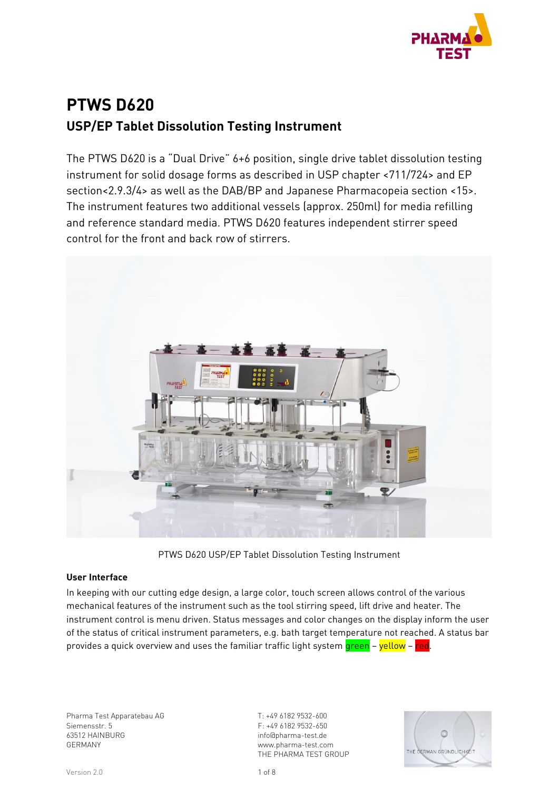

# **PTWS D620 USP/EP Tablet Dissolution Testing Instrument**

The PTWS D620 is a "Dual Drive" 6+6 position, single drive tablet dissolution testing instrument for solid dosage forms as described in USP chapter <711/724> and EP section<2.9.3/4> as well as the DAB/BP and Japanese Pharmacopeia section <15>. The instrument features two additional vessels (approx. 250ml) for media refilling and reference standard media. PTWS D620 features independent stirrer speed control for the front and back row of stirrers.



PTWS D620 USP/EP Tablet Dissolution Testing Instrument

#### **User Interface**

In keeping with our cutting edge design, a large color, touch screen allows control of the various mechanical features of the instrument such as the tool stirring speed, lift drive and heater. The instrument control is menu driven. Status messages and color changes on the display inform the user of the status of critical instrument parameters, e.g. bath target temperature not reached. A status bar provides a quick overview and uses the familiar traffic light system green – yellow – red.

Pharma Test Apparatebau AG Siemensstr. 5 63512 HAINBURG GERMANY

T: +49 6182 9532-600 F: +49 6182 9532-650 info@pharma-test.de www.pharma-test.com THE PHARMA TEST GROUP

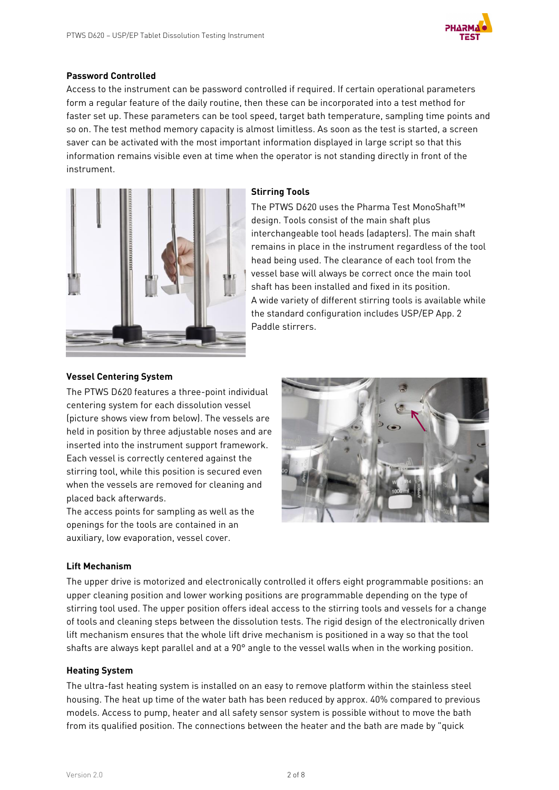

#### **Password Controlled**

Access to the instrument can be password controlled if required. If certain operational parameters form a regular feature of the daily routine, then these can be incorporated into a test method for faster set up. These parameters can be tool speed, target bath temperature, sampling time points and so on. The test method memory capacity is almost limitless. As soon as the test is started, a screen saver can be activated with the most important information displayed in large script so that this information remains visible even at time when the operator is not standing directly in front of the instrument.



#### **Stirring Tools**

The PTWS D620 uses the Pharma Test MonoShaft™ design. Tools consist of the main shaft plus interchangeable tool heads (adapters). The main shaft remains in place in the instrument regardless of the tool head being used. The clearance of each tool from the vessel base will always be correct once the main tool shaft has been installed and fixed in its position. A wide variety of different stirring tools is available while the standard configuration includes USP/EP App. 2 Paddle stirrers.

#### **Vessel Centering System**

The PTWS D620 features a three-point individual centering system for each dissolution vessel (picture shows view from below). The vessels are held in position by three adjustable noses and are inserted into the instrument support framework. Each vessel is correctly centered against the stirring tool, while this position is secured even when the vessels are removed for cleaning and placed back afterwards.

The access points for sampling as well as the openings for the tools are contained in an auxiliary, low evaporation, vessel cover.



#### **Lift Mechanism**

The upper drive is motorized and electronically controlled it offers eight programmable positions: an upper cleaning position and lower working positions are programmable depending on the type of stirring tool used. The upper position offers ideal access to the stirring tools and vessels for a change of tools and cleaning steps between the dissolution tests. The rigid design of the electronically driven lift mechanism ensures that the whole lift drive mechanism is positioned in a way so that the tool shafts are always kept parallel and at a 90° angle to the vessel walls when in the working position.

#### **Heating System**

The ultra-fast heating system is installed on an easy to remove platform within the stainless steel housing. The heat up time of the water bath has been reduced by approx. 40% compared to previous models. Access to pump, heater and all safety sensor system is possible without to move the bath from its qualified position. The connections between the heater and the bath are made by "quick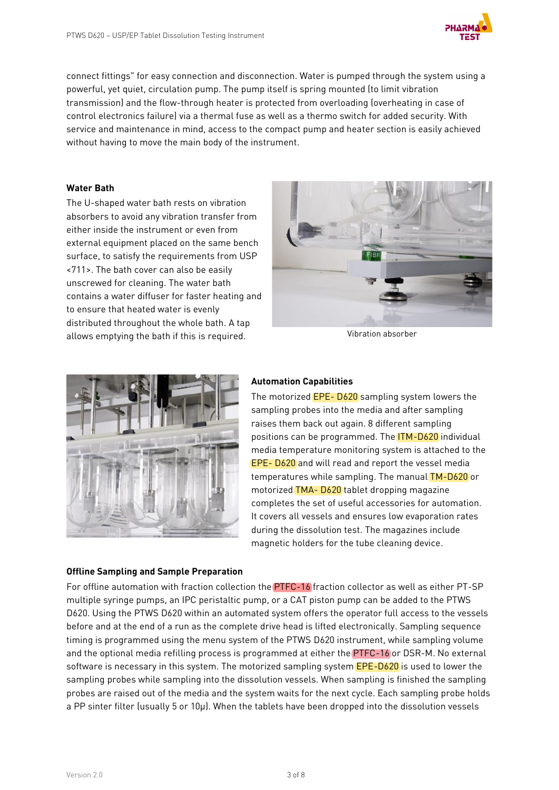

connect fittings" for easy connection and disconnection. Water is pumped through the system using a powerful, yet quiet, circulation pump. The pump itself is spring mounted (to limit vibration transmission) and the flow-through heater is protected from overloading (overheating in case of control electronics failure) via a thermal fuse as well as a thermo switch for added security. With service and maintenance in mind, access to the compact pump and heater section is easily achieved without having to move the main body of the instrument.

#### **Water Bath**

The U-shaped water bath rests on vibration absorbers to avoid any vibration transfer from either inside the instrument or even from external equipment placed on the same bench surface, to satisfy the requirements from USP <711>. The bath cover can also be easily unscrewed for cleaning. The water bath contains a water diffuser for faster heating and to ensure that heated water is evenly distributed throughout the whole bath. A tap allows emptying the bath if this is required. The value of the Vibration absorber





## **Offline Sampling and Sample Preparation**

#### **Automation Capabilities**

The motorized EPE- D620 sampling system lowers the sampling probes into the media and after sampling raises them back out again. 8 different sampling positions can be programmed. The ITM-D620 individual media temperature monitoring system is attached to the EPE- D620 and will read and report the vessel media temperatures while sampling. The manual TM-D620 or motorized TMA- D620 tablet dropping magazine completes the set of useful accessories for automation. It covers all vessels and ensures low evaporation rates during the dissolution test. The magazines include magnetic holders for the tube cleaning device.

For offline automation with fraction collection the PTFC-16 fraction collector as well as either PT-SP multiple syringe pumps, an IPC peristaltic pump, or a CAT piston pump can be added to the PTWS D620. Using the PTWS D620 within an automated system offers the operator full access to the vessels before and at the end of a run as the complete drive head is lifted electronically. Sampling sequence timing is programmed using the menu system of the PTWS D620 instrument, while sampling volume and the optional media refilling process is programmed at either the PTFC-16 or DSR-M. No external software is necessary in this system. The motorized sampling system **EPE-D620** is used to lower the sampling probes while sampling into the dissolution vessels. When sampling is finished the sampling probes are raised out of the media and the system waits for the next cycle. Each sampling probe holds a PP sinter filter (usually 5 or 10µ). When the tablets have been dropped into the dissolution vessels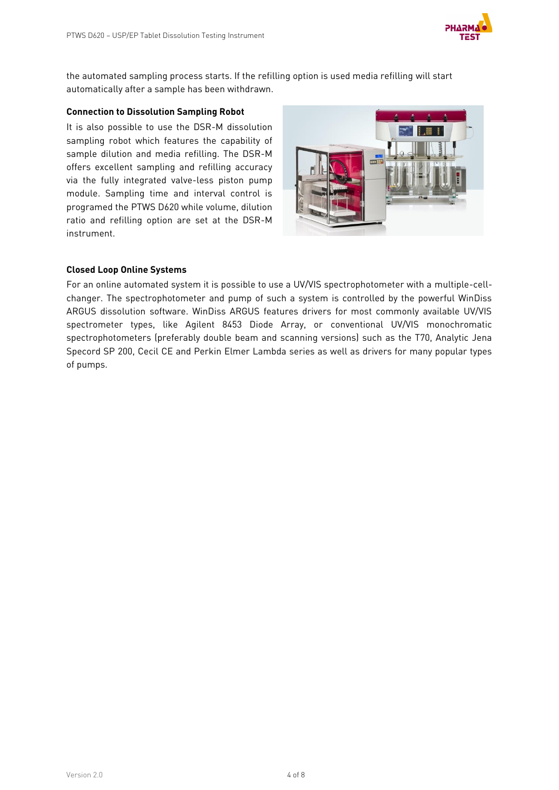

the automated sampling process starts. If the refilling option is used media refilling will start automatically after a sample has been withdrawn.

#### **Connection to Dissolution Sampling Robot**

It is also possible to use the DSR-M dissolution sampling robot which features the capability of sample dilution and media refilling. The DSR-M offers excellent sampling and refilling accuracy via the fully integrated valve-less piston pump module. Sampling time and interval control is programed the PTWS D620 while volume, dilution ratio and refilling option are set at the DSR-M instrument.



### **Closed Loop Online Systems**

For an online automated system it is possible to use a UV/VIS spectrophotometer with a multiple-cellchanger. The spectrophotometer and pump of such a system is controlled by the powerful WinDiss ARGUS dissolution software. WinDiss ARGUS features drivers for most commonly available UV/VIS spectrometer types, like Agilent 8453 Diode Array, or conventional UV/VIS monochromatic spectrophotometers (preferably double beam and scanning versions) such as the T70, Analytic Jena Specord SP 200, Cecil CE and Perkin Elmer Lambda series as well as drivers for many popular types of pumps.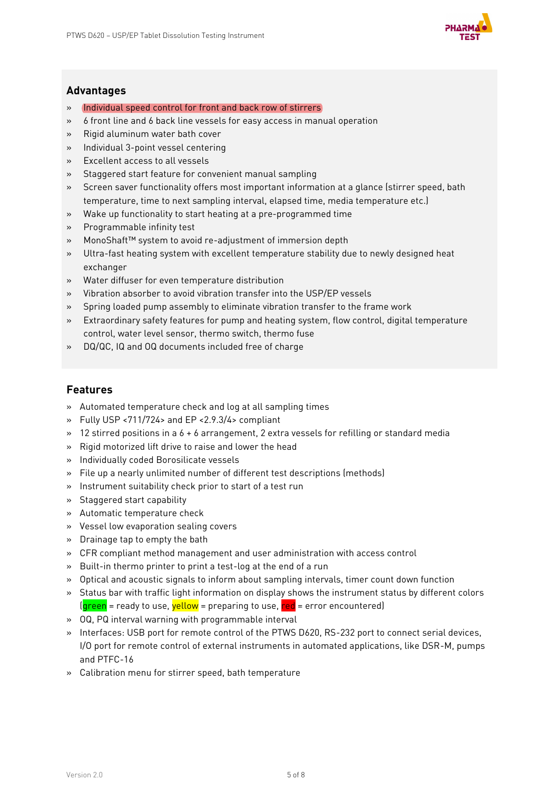

## **Advantages**

- » Individual speed control for front and back row of stirrers
- » 6 front line and 6 back line vessels for easy access in manual operation
- » Rigid aluminum water bath cover
- » Individual 3-point vessel centering
- » Excellent access to all vessels
- » Staggered start feature for convenient manual sampling
- » Screen saver functionality offers most important information at a glance (stirrer speed, bath temperature, time to next sampling interval, elapsed time, media temperature etc.)
- » Wake up functionality to start heating at a pre-programmed time
- » Programmable infinity test
- » MonoShaft™ system to avoid re-adjustment of immersion depth
- » Ultra-fast heating system with excellent temperature stability due to newly designed heat exchanger
- » Water diffuser for even temperature distribution
- » Vibration absorber to avoid vibration transfer into the USP/EP vessels
- » Spring loaded pump assembly to eliminate vibration transfer to the frame work
- » Extraordinary safety features for pump and heating system, flow control, digital temperature control, water level sensor, thermo switch, thermo fuse
- » DQ/QC, IQ and OQ documents included free of charge

## **Features**

- » Automated temperature check and log at all sampling times
- » Fully USP <711/724> and EP <2.9.3/4> compliant
- $\rightarrow$  12 stirred positions in a 6 + 6 arrangement, 2 extra vessels for refilling or standard media
- » Rigid motorized lift drive to raise and lower the head
- » Individually coded Borosilicate vessels
- » File up a nearly unlimited number of different test descriptions (methods)
- » Instrument suitability check prior to start of a test run
- » Staggered start capability
- » Automatic temperature check
- » Vessel low evaporation sealing covers
- » Drainage tap to empty the bath
- » CFR compliant method management and user administration with access control
- » Built-in thermo printer to print a test-log at the end of a run
- » Optical and acoustic signals to inform about sampling intervals, timer count down function
- » Status bar with traffic light information on display shows the instrument status by different colors  $(q$ reen = ready to use,  $yellow$  = preparing to use,  $red$  = error encountered)
- » OQ, PQ interval warning with programmable interval
- » Interfaces: USB port for remote control of the PTWS D620, RS-232 port to connect serial devices, I/O port for remote control of external instruments in automated applications, like DSR-M, pumps and PTFC-16
- » Calibration menu for stirrer speed, bath temperature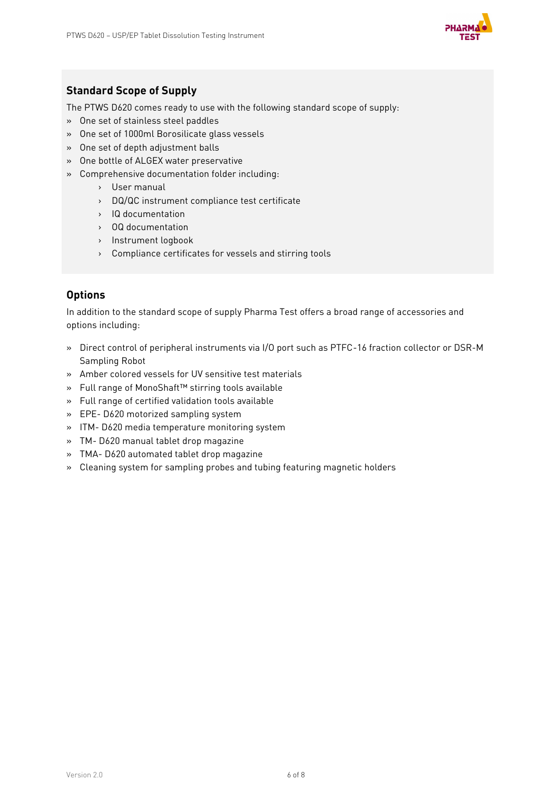

# **Standard Scope of Supply**

The PTWS D620 comes ready to use with the following standard scope of supply:

- » One set of stainless steel paddles
- » One set of 1000ml Borosilicate glass vessels
- » One set of depth adjustment balls
- » One bottle of ALGEX water preservative
- » Comprehensive documentation folder including:
	- › User manual
	- › DQ/QC instrument compliance test certificate
	- › IQ documentation
	- › OQ documentation
	- › Instrument logbook
	- › Compliance certificates for vessels and stirring tools

## **Options**

In addition to the standard scope of supply Pharma Test offers a broad range of accessories and options including:

- » Direct control of peripheral instruments via I/O port such as PTFC-16 fraction collector or DSR-M Sampling Robot
- » Amber colored vessels for UV sensitive test materials
- » Full range of MonoShaft™ stirring tools available
- » Full range of certified validation tools available
- » EPE- D620 motorized sampling system
- » ITM- D620 media temperature monitoring system
- » TM- D620 manual tablet drop magazine
- » TMA- D620 automated tablet drop magazine
- » Cleaning system for sampling probes and tubing featuring magnetic holders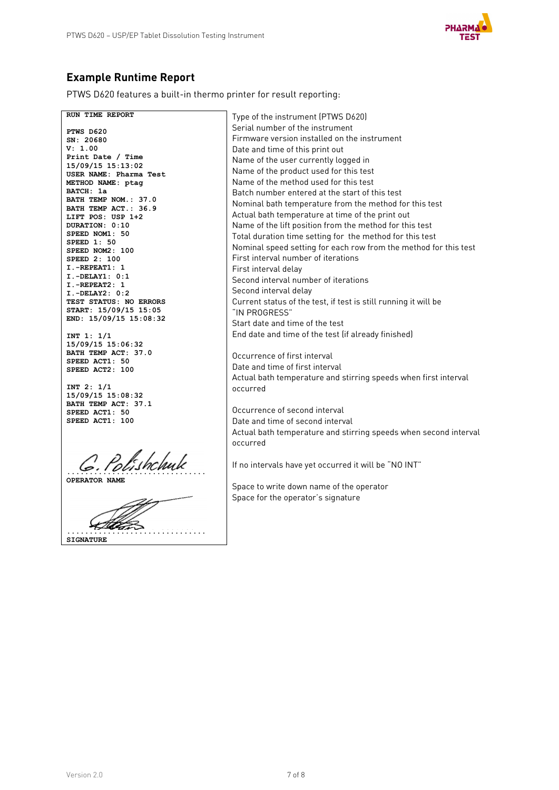

# **Example Runtime Report**

PTWS D620 features a built-in thermo printer for result reporting:

**RUN TIME REPORT PTWS D620 SN: 20680 V: 1.00 Print Date / Time 15/09/15 15:13:02 USER NAME: Pharma Test METHOD NAME: ptag BATCH: 1a BATH TEMP NOM.: 37.0 BATH TEMP ACT.: 36.9 LIFT POS: USP 1+2 DURATION: 0:10 SPEED NOM1: 50 SPEED 1: 50 SPEED NOM2: 100 SPEED 2: 100 I.-REPEAT1: 1 I.-DELAY1: 0:1 I.-REPEAT2: 1 I.-DELAY2: 0:2 TEST STATUS: NO ERRORS START: 15/09/15 15:05 END: 15/09/15 15:08:32 INT 1: 1/1 15/09/15 15:06:32 BATH TEMP ACT: 37.0 SPEED ACT1: 50 SPEED ACT2: 100 INT 2: 1/1 15/09/15 15:08:32 BATH TEMP ACT: 37.1 SPEED ACT1: 50 SPEED ACT1: 100 ............................... OPERATOR NAME ............................... SIGNATURE** Type of the instrument (PTWS D620) Serial number of the instrument Firmware version installed on the instrument Date and time of this print out Name of the user currently logged in Name of the product used for this test Name of the method used for this test Batch number entered at the start of this test Nominal bath temperature from the method for this test Actual bath temperature at time of the print out Name of the lift position from the method for this test Total duration time setting for the method for this test Nominal speed setting for each row from the method for this test First interval number of iterations First interval delay Second interval number of iterations Second interval delay Current status of the test, if test is still running it will be "IN PROGRESS" Start date and time of the test End date and time of the test (if already finished) Occurrence of first interval Date and time of first interval Actual bath temperature and stirring speeds when first interval occurred Occurrence of second interval Date and time of second interval Actual bath temperature and stirring speeds when second interval occurred If no intervals have yet occurred it will be "NO INT" Space to write down name of the operator Space for the operator's signature